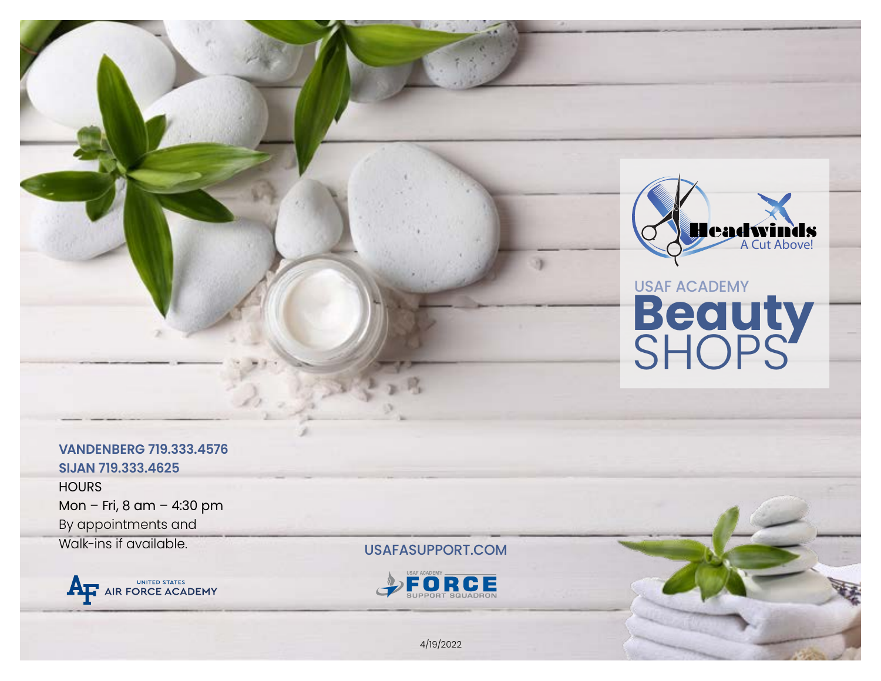

# USAF ACADEMY **Beauty SHOPS**

# **VANDENBERG 719.333.4576 SIJAN 719.333.4625**

**HOURS** Mon – Fri, 8 am – 4:30 pm By appointments and Walk-ins if available.



USAFASUPPORT.COM



4/19/2022